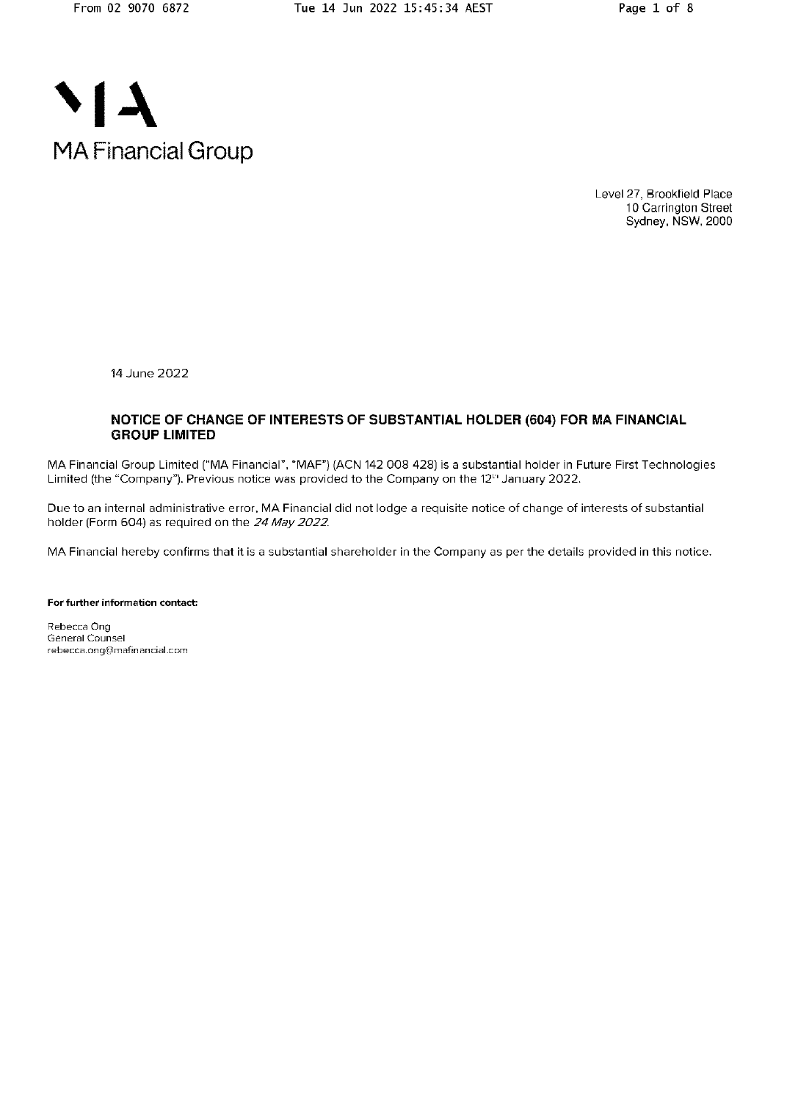

Level 27, Brookfield Place 10 Carrington Street Sydney, NSW, 2000

14 June 2022

### NOTICE OF CHANGE OF INTERESTS OF SUBSTANTIAL HOLDER (604) FOR MA FINANCIAL **GROUP LIMITED**

MA Financial Group Limited ("MA Financial", "MAF") (ACN 142 008 428) is a substantial holder in Future First Technologies Limited (the "Company"). Previous notice was provided to the Company on the 12<sup>th</sup> January 2022.

Due to an internal administrative error, MA Financial did not lodge a requisite notice of change of interests of substantial holder (Form 604) as required on the 24 May 2022.

MA Financial hereby confirms that it is a substantial shareholder in the Company as per the details provided in this notice.

For further information contact:

Rebecca Ong General Counsel rebecca.ong@mafinancial.com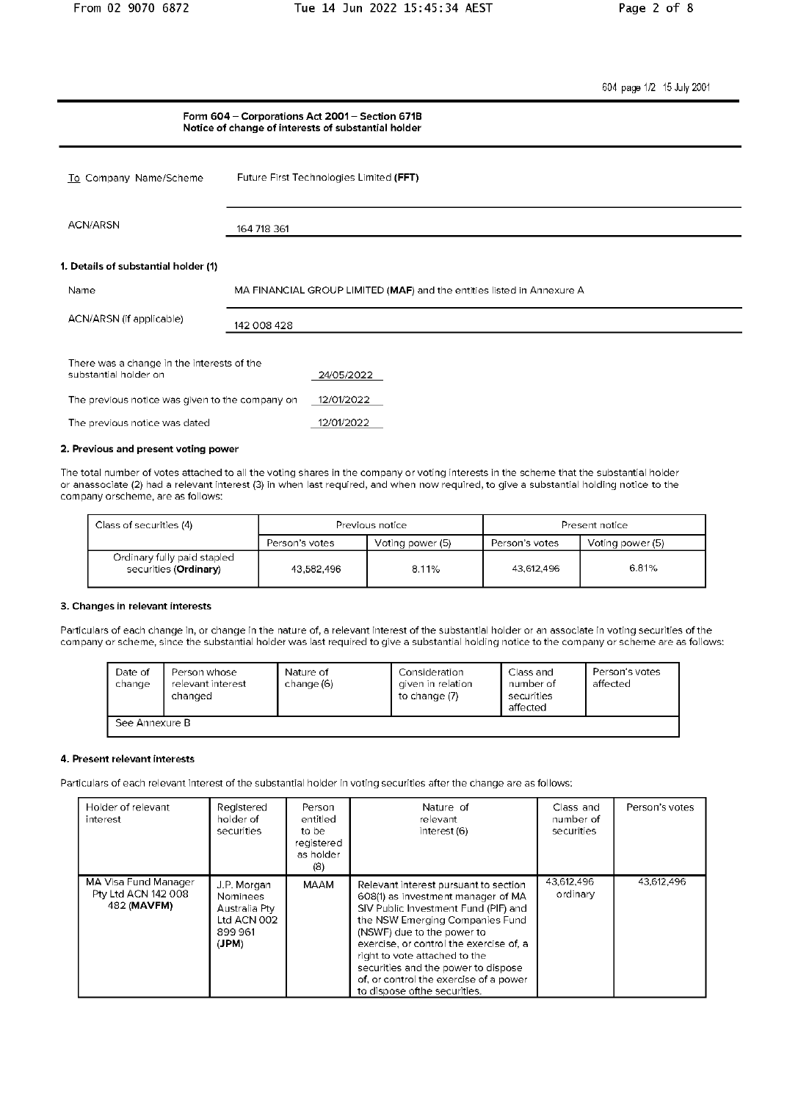604 page 1/2 15 July 2001

## Form 604 - Corporations Act 2001 - Section 671B Notice of change of interests of substantial holder Future First Technologies Limited (FFT) To Company Name/Scheme ACN/ARSN 164 718 361 1. Details of substantial holder (1) Name MA FINANCIAL GROUP LIMITED (MAF) and the entities listed in Annexure A ACN/ARSN (if applicable) 142 008 428 There was a change in the interests of the substantial holder on 24/05/2022 The previous notice was given to the company on  $12/01/2022$ The previous notice was dated  $12/01/2022$

#### 2. Previous and present voting power

The total number of votes attached to all the voting shares in the company or voting interests in the scheme that the substantial holder or anassociate (2) had a relevant interest (3) in when last required, and when now required, to give a substantial holding notice to the company orscheme, are as follows:

| Class of securities (4)                              | Previous notice |                  | Present notice |                  |
|------------------------------------------------------|-----------------|------------------|----------------|------------------|
|                                                      | Person's votes  | Voting power (5) | Person's votes | Voting power (5) |
| Ordinary fully paid stapled<br>securities (Ordinary) | 43.582.496      | 8.11%            | 43,612,496     | 6.81%            |

#### 3. Changes in relevant interests

Particulars of each change in, or change in the nature of, a relevant interest of the substantial holder or an associate in voting securities of the company or scheme, since the substantial holder was last required to give a substantial holding notice to the company or scheme are as follows:

| Date of<br>change | Person whose<br>relevant interest<br>changed | Nature of<br>change (6) | Consideration<br>given in relation<br>to change (7) | Class and<br>number of<br>securities<br>affected | Person's votes<br>affected |
|-------------------|----------------------------------------------|-------------------------|-----------------------------------------------------|--------------------------------------------------|----------------------------|
| See Annexure B    |                                              |                         |                                                     |                                                  |                            |

#### 4. Present relevant interests

Particulars of each relevant interest of the substantial holder in voting securities after the change are as follows:

| Holder of relevant<br>interest                             | Registered<br>holder of<br>securities                                      | Person<br>entitled<br>to be<br>registered<br>as holder.<br>(8) | Nature of<br>relevant<br>interest (6)                                                                                                                                                                                                                                                                                                                                              | Class and<br>number of<br>securities | Person's votes |
|------------------------------------------------------------|----------------------------------------------------------------------------|----------------------------------------------------------------|------------------------------------------------------------------------------------------------------------------------------------------------------------------------------------------------------------------------------------------------------------------------------------------------------------------------------------------------------------------------------------|--------------------------------------|----------------|
| MA Visa Fund Manager<br>Pty Ltd ACN 142 008<br>482 (MAVFM) | J.P. Morgan<br>Nominees<br>Australia Ptv<br>Ltd ACN 002<br>899961<br>(JPM) | MAAM                                                           | Relevant interest pursuant to section<br>608(1) as investment manager of MA<br>SIV Public Investment Fund (PIF) and<br>the NSW Emerging Companies Fund<br>(NSWF) due to the power to<br>exercise, or control the exercise of, a<br>right to vote attached to the<br>securities and the power to dispose<br>of, or control the exercise of a power<br>to dispose of the securities. | 43,612,496<br>ordinary               | 43.612.496     |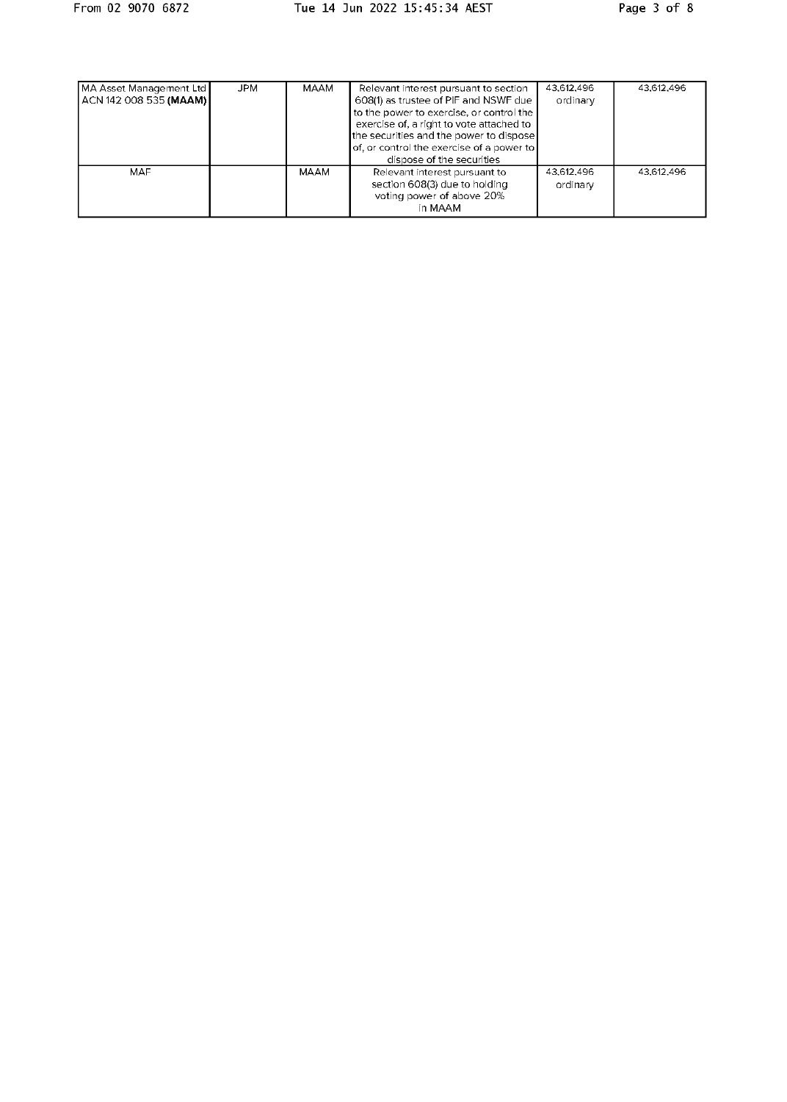| MA Asset Management Ltd<br>  ACN 142 008 535 <b>(MAAM)  </b> | <b>JPM</b> | MAAM | Relevant interest pursuant to section<br>608(1) as trustee of PIF and NSWF due<br>to the power to exercise, or control the<br>exercise of, a right to vote attached to<br>the securities and the power to dispose<br>of, or control the exercise of a power to<br>dispose of the securities | 43,612,496<br>ordinary | 43,612.496 |
|--------------------------------------------------------------|------------|------|---------------------------------------------------------------------------------------------------------------------------------------------------------------------------------------------------------------------------------------------------------------------------------------------|------------------------|------------|
| MAF                                                          |            | MAAM | Relevant interest pursuant to<br>section 608(3) due to holding<br>voting power of above 20%<br>in MAAM                                                                                                                                                                                      | 43,612,496<br>ordinary | 43.612.496 |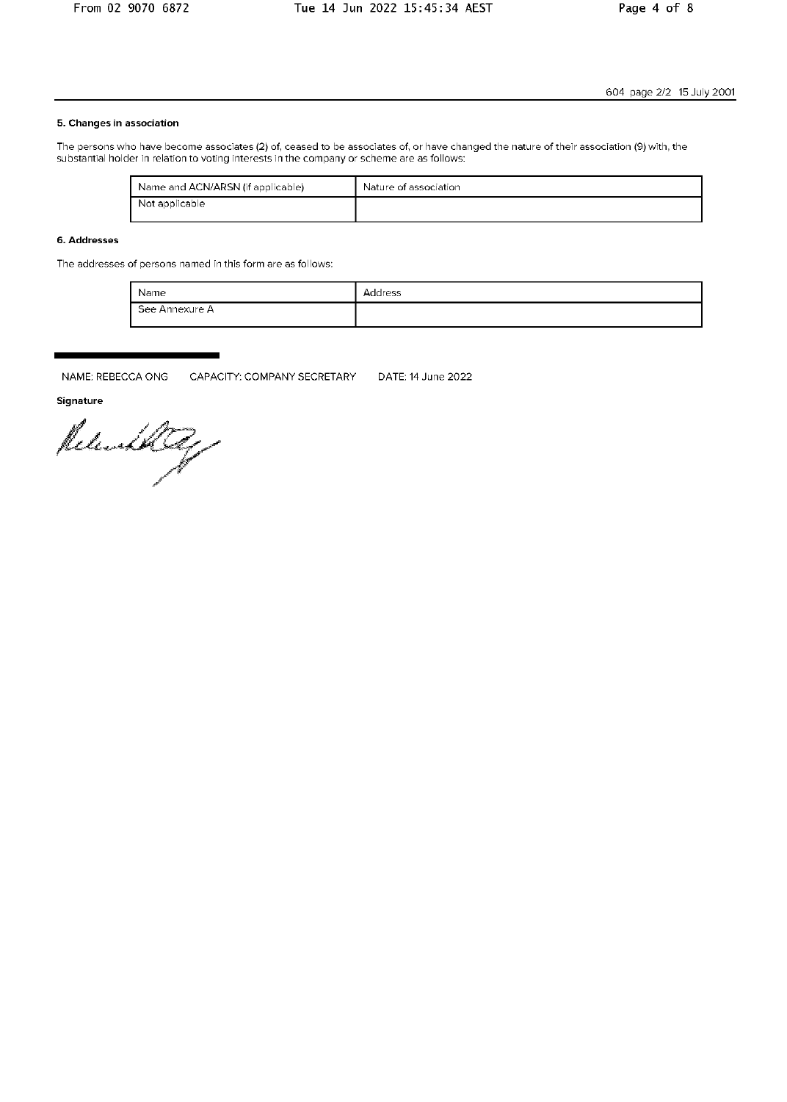### 5. Changes in association

The persons who have become associates (2) of, ceased to be associates of, or have changed the nature of their association (9) with, the substantial holder in relation to voting interests in the company or scheme are as follows:

| Name and ACN/ARSN (if applicable) | Nature of association |
|-----------------------------------|-----------------------|
| Not applicable                    |                       |

### 6. Addresses

The addresses of persons named in this form are as follows:

| Name           | Address |
|----------------|---------|
| See Annexure A |         |

NAME: REBECCA ONG CAPACITY: COMPANY SECRETARY DATE: 14 June 2022

Signature

Released Reg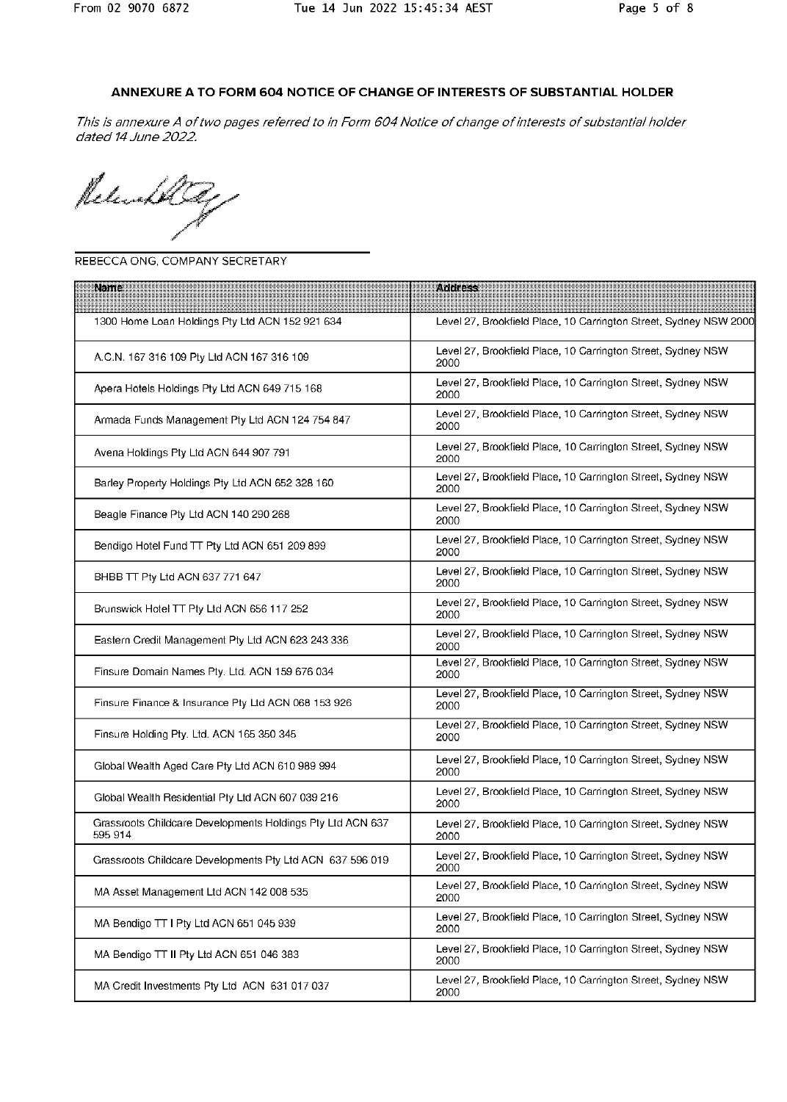# ANNEXURE A TO FORM 604 NOTICE OF CHANGE OF INTERESTS OF SUBSTANTIAL HOLDER

This is annexure A of two pages referred to in Form 604 Notice of change of interests of substantial holder dated 14 June 2022.

Releathle

### REBECCA ONG, COMPANY SECRETARY

| <b>Name</b>                                                           | <b>Address</b>                                                       |
|-----------------------------------------------------------------------|----------------------------------------------------------------------|
| 1300 Home Loan Holdings Pty Ltd ACN 152 921 634                       | Level 27, Brookfield Place, 10 Carrington Street, Sydney NSW 2000    |
| A.C.N. 167 316 109 Pty Ltd ACN 167 316 109                            | Level 27, Brookfield Place, 10 Carrington Street, Sydney NSW<br>2000 |
| Apera Hotels Holdings Pty Ltd ACN 649 715 168                         | Level 27, Brookfield Place, 10 Carrington Street, Sydney NSW<br>2000 |
| Armada Funds Management Pty Ltd ACN 124 754 847                       | Level 27, Brookfield Place, 10 Carrington Street, Sydney NSW<br>2000 |
| Avena Holdings Pty Ltd ACN 644 907 791                                | Level 27, Brookfield Place, 10 Carrington Street, Sydney NSW<br>2000 |
| Barley Property Holdings Pty Ltd ACN 652 328 160                      | Level 27, Brookfield Place, 10 Carrington Street, Sydney NSW<br>2000 |
| Beagle Finance Pty Ltd ACN 140 290 268                                | Level 27, Brookfield Place, 10 Carrington Street, Sydney NSW<br>2000 |
| Bendigo Hotel Fund TT Pty Ltd ACN 651 209 899                         | Level 27, Brookfield Place, 10 Carrington Street, Sydney NSW<br>2000 |
| BHBB TT Pty Ltd ACN 637 771 647                                       | Level 27, Brookfield Place, 10 Carrington Street, Sydney NSW<br>2000 |
| Brunswick Hotel TT Pty Ltd ACN 656 117 252                            | Level 27, Brookfield Place, 10 Carrington Street, Sydney NSW<br>2000 |
| Eastern Credit Management Pty Ltd ACN 623 243 336                     | Level 27, Brookfield Place, 10 Carrington Street, Sydney NSW<br>2000 |
| Finsure Domain Names Pty. Ltd. ACN 159 676 034                        | Level 27, Brookfield Place, 10 Carrington Street, Sydney NSW<br>2000 |
| Finsure Finance & Insurance Pty Ltd ACN 068 153 926                   | Level 27, Brookfield Place, 10 Carrington Street, Sydney NSW<br>2000 |
| Finsure Holding Pty. Ltd. ACN 165 350 345                             | Level 27, Brookfield Place, 10 Carrington Street, Sydney NSW<br>2000 |
| Global Wealth Aged Care Pty Ltd ACN 610 989 994                       | Level 27, Brookfield Place, 10 Carrington Street, Sydney NSW<br>2000 |
| Global Wealth Residential Pty Ltd ACN 607 039 216                     | Level 27, Brookfield Place, 10 Carrington Street, Sydney NSW<br>2000 |
| Grassroots Childcare Developments Holdings Pty Ltd ACN 637<br>595 914 | Level 27, Brookfield Place, 10 Carrington Street, Sydney NSW<br>2000 |
| Grassroots Childcare Developments Pty Ltd ACN 637 596 019             | Level 27, Brookfield Place, 10 Carrington Street, Sydney NSW<br>2000 |
| MA Asset Management Ltd ACN 142 008 535                               | Level 27, Brookfield Place, 10 Carrington Street, Sydney NSW<br>2000 |
| MA Bendigo TT I Pty Ltd ACN 651 045 939                               | Level 27, Brookfield Place, 10 Carrington Street, Sydney NSW<br>2000 |
| MA Bendigo TT II Pty Ltd ACN 651 046 383                              | Level 27, Brookfield Place, 10 Carrington Street, Sydney NSW<br>2000 |
| MA Credit Investments Pty Ltd ACN 631 017 037                         | Level 27, Brookfield Place, 10 Carrington Street, Sydney NSW<br>2000 |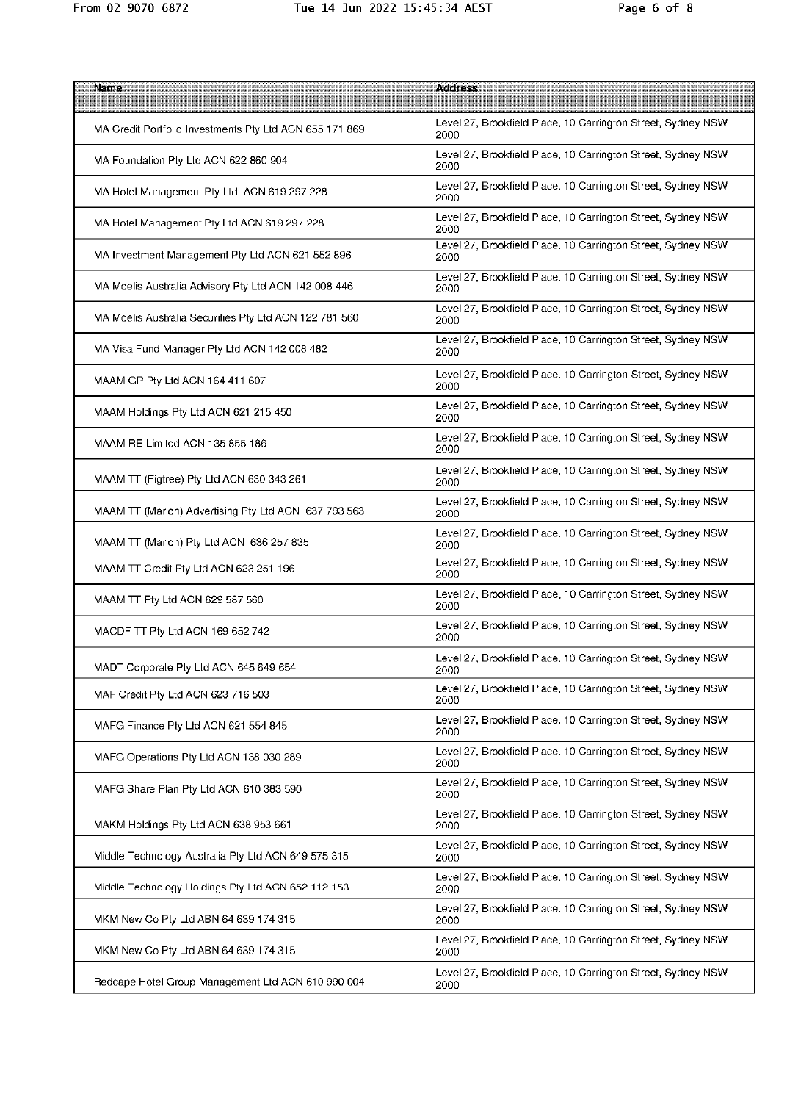| Name                                                    | <b>Address</b>                                                       |
|---------------------------------------------------------|----------------------------------------------------------------------|
| MA Credit Portfolio Investments Pty Ltd ACN 655 171 869 | Level 27, Brookfield Place, 10 Carrington Street, Sydney NSW<br>2000 |
| MA Foundation Pty Ltd ACN 622 860 904                   | Level 27, Brookfield Place, 10 Carrington Street, Sydney NSW<br>2000 |
| MA Hotel Management Pty Ltd ACN 619 297 228             | Level 27, Brookfield Place, 10 Carrington Street, Sydney NSW<br>2000 |
| MA Hotel Management Pty Ltd ACN 619 297 228             | Level 27, Brookfield Place, 10 Carrington Street, Sydney NSW<br>2000 |
| MA Investment Management Pty Ltd ACN 621 552 896        | Level 27, Brookfield Place, 10 Carrington Street, Sydney NSW<br>2000 |
| MA Moelis Australia Advisory Pty Ltd ACN 142 008 446    | Level 27, Brookfield Place, 10 Carrington Street, Sydney NSW<br>2000 |
| MA Moelis Australia Securities Pty Ltd ACN 122 781 560  | Level 27, Brookfield Place, 10 Carrington Street, Sydney NSW<br>2000 |
| MA Visa Fund Manager Pty Ltd ACN 142 008 482            | Level 27, Brookfield Place, 10 Carrington Street, Sydney NSW<br>2000 |
| MAAM GP Pty Ltd ACN 164 411 607                         | Level 27, Brookfield Place, 10 Carrington Street, Sydney NSW<br>2000 |
| MAAM Holdings Pty Ltd ACN 621 215 450                   | Level 27, Brookfield Place, 10 Carrington Street, Sydney NSW<br>2000 |
| MAAM RE Limited ACN 135 855 186                         | Level 27, Brookfield Place, 10 Carrington Street, Sydney NSW<br>2000 |
| MAAM TT (Figtree) Pty Ltd ACN 630 343 261               | Level 27, Brookfield Place, 10 Carrington Street, Sydney NSW<br>2000 |
| MAAM TT (Marion) Advertising Pty Ltd ACN 637 793 563    | Level 27, Brookfield Place, 10 Carrington Street, Sydney NSW<br>2000 |
| MAAM TT (Marion) Pty Ltd ACN 636 257 835                | Level 27, Brookfield Place, 10 Carrington Street, Sydney NSW<br>2000 |
| MAAM TT Credit Pty Ltd ACN 623 251 196                  | Level 27, Brookfield Place, 10 Carrington Street, Sydney NSW<br>2000 |
| MAAM TT Pty Ltd ACN 629 587 560                         | Level 27, Brookfield Place, 10 Carrington Street, Sydney NSW<br>2000 |
| MACDF TT Pty Ltd ACN 169 652 742                        | Level 27, Brookfield Place, 10 Carrington Street, Sydney NSW<br>2000 |
| MADT Corporate Pty Ltd ACN 645 649 654                  | Level 27, Brookfield Place, 10 Carrington Street, Sydney NSW<br>2000 |
| MAF Credit Pty Ltd ACN 623 716 503                      | Level 27, Brookfield Place, 10 Carrington Street, Sydney NSW<br>2000 |
| MAFG Finance Pty Ltd ACN 621 554 845                    | Level 27, Brookfield Place, 10 Carrington Street, Sydney NSW<br>2000 |
| MAFG Operations Pty Ltd ACN 138 030 289                 | Level 27, Brookfield Place, 10 Carrington Street, Sydney NSW<br>2000 |
| MAFG Share Plan Pty Ltd ACN 610 383 590                 | Level 27, Brookfield Place, 10 Carrington Street, Sydney NSW<br>2000 |
| MAKM Holdings Pty Ltd ACN 638 953 661                   | Level 27, Brookfield Place, 10 Carrington Street, Sydney NSW<br>2000 |
| Middle Technology Australia Pty Ltd ACN 649 575 315     | Level 27, Brookfield Place, 10 Carrington Street, Sydney NSW<br>2000 |
| Middle Technology Holdings Pty Ltd ACN 652 112 153      | Level 27, Brookfield Place, 10 Carrington Street, Sydney NSW<br>2000 |
| MKM New Co Pty Ltd ABN 64 639 174 315                   | Level 27, Brookfield Place, 10 Carrington Street, Sydney NSW<br>2000 |
| MKM New Co Pty Ltd ABN 64 639 174 315                   | Level 27, Brookfield Place, 10 Carrington Street, Sydney NSW<br>2000 |
| Redcape Hotel Group Management Ltd ACN 610 990 004      | Level 27, Brookfield Place, 10 Carrington Street, Sydney NSW<br>2000 |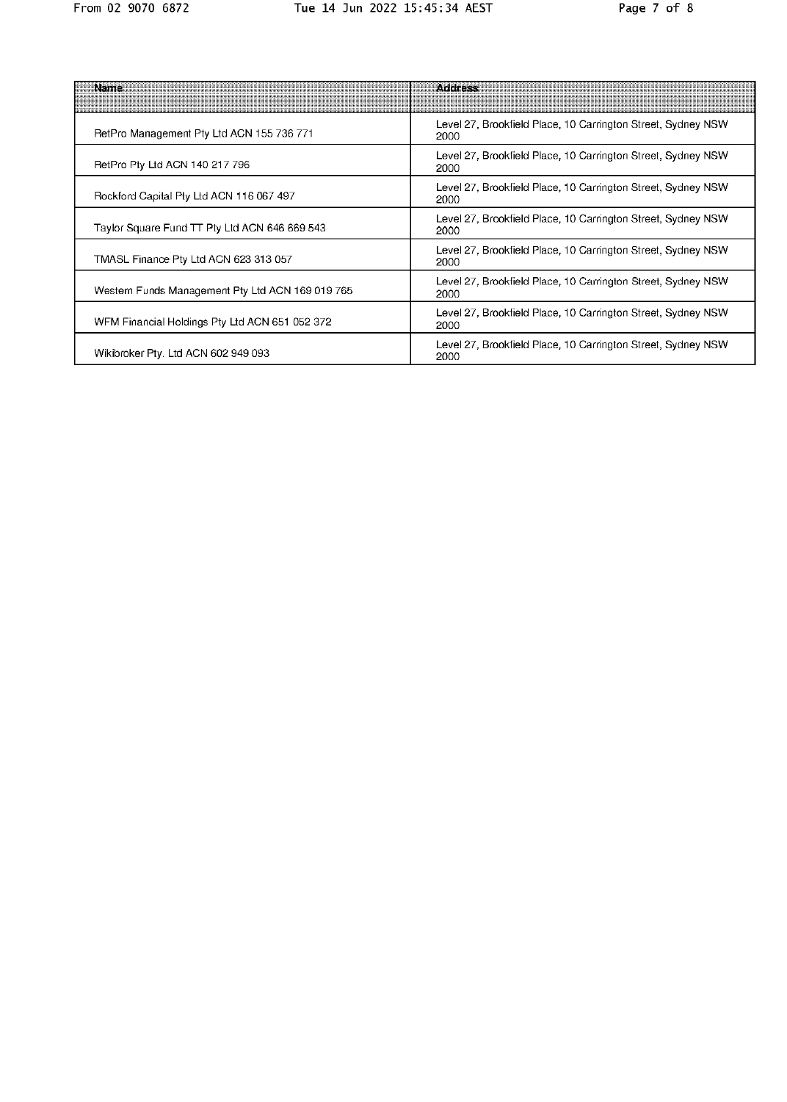| Rame                                             | <b>Address</b>                                                       |
|--------------------------------------------------|----------------------------------------------------------------------|
| RetPro Management Pty Ltd ACN 155 736 771        | Level 27, Brookfield Place, 10 Carrington Street, Sydney NSW<br>2000 |
| RetPro Pty Ltd ACN 140 217 796                   | Level 27, Brookfield Place, 10 Carrington Street, Sydney NSW<br>2000 |
| Rockford Capital Pty Ltd ACN 116 067 497         | Level 27, Brookfield Place, 10 Carrington Street, Sydney NSW<br>2000 |
| Taylor Square Fund TT Pty Ltd ACN 646 669 543    | Level 27, Brookfield Place, 10 Carrington Street, Sydney NSW<br>2000 |
| TMASL Finance Pty Ltd ACN 623 313 057            | Level 27, Brookfield Place, 10 Carrington Street, Sydney NSW<br>2000 |
| Western Funds Management Pty Ltd ACN 169 019 765 | Level 27, Brookfield Place, 10 Carrington Street, Sydney NSW<br>2000 |
| WFM Financial Holdings Pty Ltd ACN 651 052 372   | Level 27, Brookfield Place, 10 Carrington Street, Sydney NSW<br>2000 |
| Wikibroker Pty. Ltd ACN 602 949 093              | Level 27, Brookfield Place, 10 Carrington Street, Sydney NSW<br>2000 |